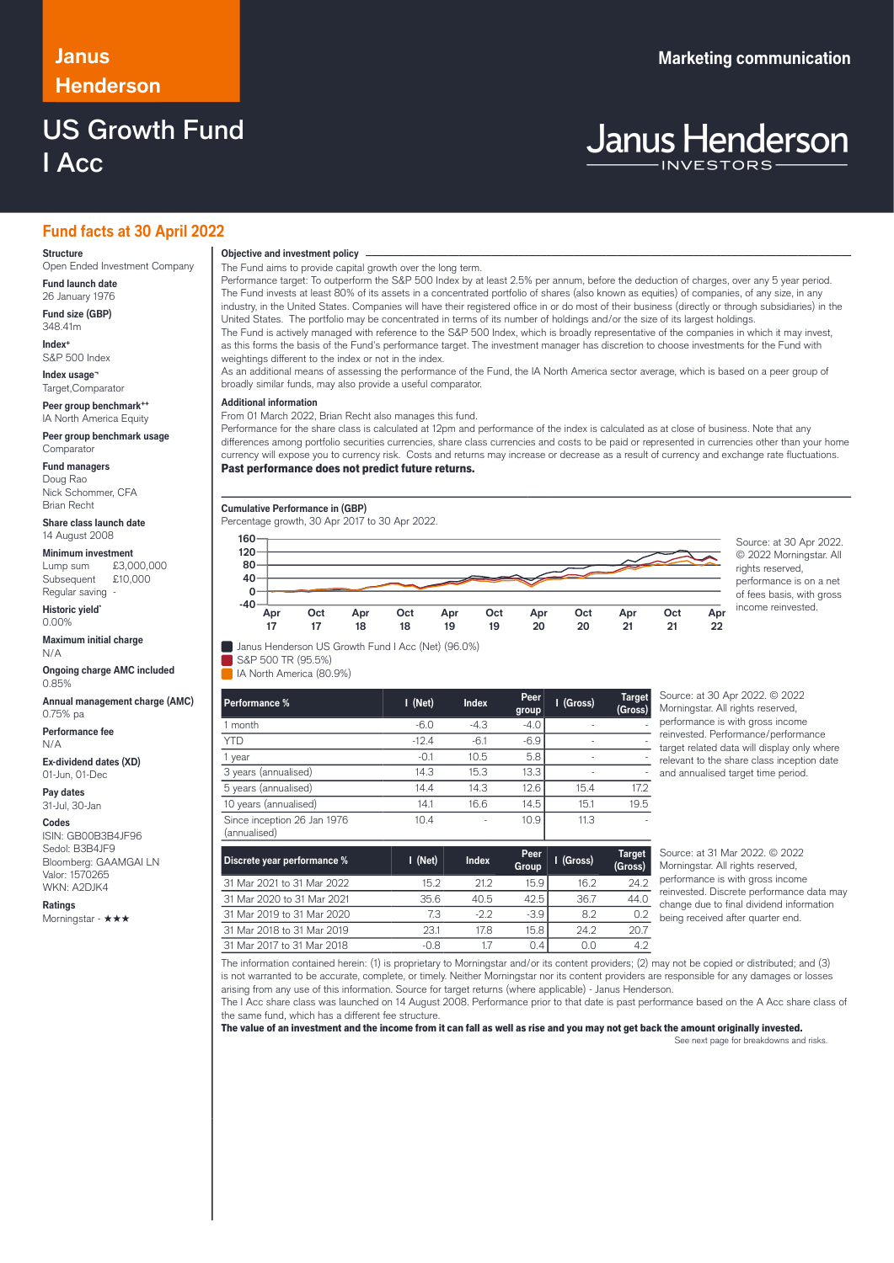## **Henderson**

### US Growth Fund I Acc

### **Janus Marketing communication**

# **Janus Henderson**

### **Fund facts at 30 April 2022**

#### **Structure**

Open Ended Investment Company **Fund launch date**

26 January 1976

**Fund size (GBP)** 348.41m

**Index+** S&P 500 Index

**Index usage¬** Target,Comparator

**Peer group benchmark++** IA North America Equity

**Peer group benchmark usage** Comparator

**Fund managers**

Doug Rao Nick Schommer, CFA Brian Recht

**Share class launch date** 14 August 2008

**Minimum investment**<br>Lump sum £3,000,000 Lump sum

Subsequent £10,000 Regular saving -

**Historic yield\*** 0.00%

**Maximum initial charge** N/A

**Ongoing charge AMC included** 0.85%

**Annual management charge (AMC)** 0.75% pa

**Performance fee** N/A

**Ex-dividend dates (XD)** 01-Jun, 01-Dec

**Pay dates** 31-Jul, 30-Jan

**Codes**

ISIN: GB00B3B4JF96 Sedol: B3B4JF9 Bloomberg: GAAMGAI LN Valor: 1570265 WKN: A2DJK4

**Ratings** Morningstar - ★★★

### **Objective and investment policy** ────────────────────────────────────────────────────────────────────────────────────────────────────────────────────────────────────────────────────────────────────────────────────────────────────────────────────────────────────────────────────────────────────────────────────────────────────────────────────────────────────────────────────────────────────────────────────────────────────────────────────────────────────────────────────────────────────────────────────────────────────────────────────

The Fund aims to provide capital growth over the long term.

Performance target: To outperform the S&P 500 Index by at least 2.5% per annum, before the deduction of charges, over any 5 year period. The Fund invests at least 80% of its assets in a concentrated portfolio of shares (also known as equities) of companies, of any size, in any industry, in the United States. Companies will have their registered office in or do most of their business (directly or through subsidiaries) in the United States. The portfolio may be concentrated in terms of its number of holdings and/or the size of its largest holdings. The Fund is actively managed with reference to the S&P 500 Index, which is broadly representative of the companies in which it may invest, as this forms the basis of the Fund's performance target. The investment manager has discretion to choose investments for the Fund with

weightings different to the index or not in the index. As an additional means of assessing the performance of the Fund, the IA North America sector average, which is based on a peer group of

broadly similar funds, may also provide a useful comparator.

### **Additional information**

From 01 March 2022, Brian Recht also manages this fund.

Performance for the share class is calculated at 12pm and performance of the index is calculated as at close of business. Note that any differences among portfolio securities currencies, share class currencies and costs to be paid or represented in currencies other than your home currency will expose you to currency risk. Costs and returns may increase or decrease as a result of currency and exchange rate fluctuations.

Past performance does not predict future returns.



© 2022 Morningstar. All rights reserved, performance is on a net of fees basis, with gross income reinvested.

| Janus Henderson US Growth Fund I Acc (Net) (96.0%) |  |  |  |  |  |  |  |
|----------------------------------------------------|--|--|--|--|--|--|--|
|----------------------------------------------------|--|--|--|--|--|--|--|

S&P 500 TR (95.5%) IA North America (80.9%)

ſ

| Performance %                               | $I$ (Net) | <b>Index</b> | Peer<br>group | I (Gross) | <b>Target</b><br>(Gross) |
|---------------------------------------------|-----------|--------------|---------------|-----------|--------------------------|
| month                                       | $-6.0$    | $-4.3$       | $-4.0$        | ٠         |                          |
| <b>YTD</b>                                  | $-12.4$   | $-6.1$       | $-6.9$        | ٠         |                          |
| year                                        | $-0.1$    | 10.5         | 5.8           | ٠         |                          |
| 3 years (annualised)                        | 14.3      | 15.3         | 13.3          |           |                          |
| 5 years (annualised)                        | 14.4      | 14.3         | 12.6          | 15.4      | 17.2                     |
| 10 years (annualised)                       | 14.1      | 16.6         | 14.5          | 15.1      | 19.5                     |
| Since inception 26 Jan 1976<br>(annualised) | 10.4      | ٠            | 10.9          | 11.3      |                          |

Source: at 30 Apr 2022. © 2022 Morningstar. All rights reserved, performance is with gross income reinvested. Performance/performance target related data will display only where relevant to the share class inception date and annualised target time period.

**Apr 22**

| Discrete year performance % | I (Net) | <b>Index</b> | Peer<br>Group | I (Gross) | <b>Target</b><br>(Gross) |
|-----------------------------|---------|--------------|---------------|-----------|--------------------------|
| 31 Mar 2021 to 31 Mar 2022  | 152     | 21.2         | 15.9          | 16.2      | 24.2                     |
| 31 Mar 2020 to 31 Mar 2021  | 35.6    | 40.5         | 42.5          | 36.7      | 44.0                     |
| 31 Mar 2019 to 31 Mar 2020  | 7.3     | $-2.2$       | $-3.9$        | 8.2       | 0.2                      |
| 31 Mar 2018 to 31 Mar 2019  | 23.1    | 17.8         | 15.8          | 24.2      | 20.7                     |
| 31 Mar 2017 to 31 Mar 2018  | -0.8    |              | 0.4           | 0.0       | 4.2                      |

Source: at 31 Mar 2022. © 2022 Morningstar. All rights reserved, performance is with gross income reinvested. Discrete performance data may change due to final dividend information being received after quarter end.

The information contained herein: (1) is proprietary to Morningstar and/or its content providers; (2) may not be copied or distributed; and (3) is not warranted to be accurate, complete, or timely. Neither Morningstar nor its content providers are responsible for any damages or losses arising from any use of this information. Source for target returns (where applicable) - Janus Henderson.

The I Acc share class was launched on 14 August 2008. Performance prior to that date is past performance based on the A Acc share class of the same fund, which has a different fee structure.

The value of an investment and the income from it can fall as well as rise and you may not get back the amount originally invested. See next page for breakdowns and risks.